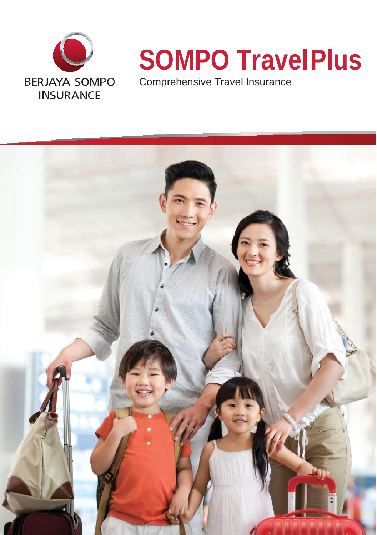

# **SOMPO TravelPlus**

Comprehensive Travel Insurance

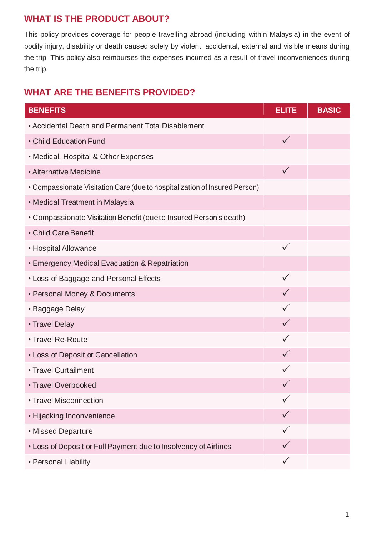# **WHAT IS THE PRODUCT ABOUT?**

This policy provides coverage for people travelling abroad (including within Malaysia) in the event of bodily injury, disability or death caused solely by violent, accidental, external and visible means during the trip. This policy also reimburses the expenses incurred as a result of travel inconveniences during the trip.

# **WHAT ARE THE BENEFITS PROVIDED?**

| <b>BENEFITS</b>                                                            | <b>ELITE</b> | <b>BASIC</b> |
|----------------------------------------------------------------------------|--------------|--------------|
| • Accidental Death and Permanent Total Disablement                         |              |              |
| • Child Education Fund                                                     | $\checkmark$ |              |
| • Medical, Hospital & Other Expenses                                       |              |              |
| • Alternative Medicine                                                     | $\checkmark$ |              |
| • Compassionate Visitation Care (due to hospitalization of Insured Person) |              |              |
| • Medical Treatment in Malaysia                                            |              |              |
| • Compassionate Visitation Benefit (due to Insured Person's death)         |              |              |
| • Child Care Benefit                                                       |              |              |
| • Hospital Allowance                                                       | ✓            |              |
| • Emergency Medical Evacuation & Repatriation                              |              |              |
| • Loss of Baggage and Personal Effects                                     | ✓            |              |
| • Personal Money & Documents                                               | $\checkmark$ |              |
| · Baggage Delay                                                            | ✓            |              |
| • Travel Delay                                                             | $\checkmark$ |              |
| • Travel Re-Route                                                          | ✓            |              |
| • Loss of Deposit or Cancellation                                          | $\checkmark$ |              |
| • Travel Curtailment                                                       | ✓            |              |
| • Travel Overbooked                                                        | $\checkmark$ |              |
| • Travel Misconnection                                                     | $\checkmark$ |              |
| • Hijacking Inconvenience                                                  | $\checkmark$ |              |
| • Missed Departure                                                         |              |              |
| • Loss of Deposit or Full Payment due to Insolvency of Airlines            | $\checkmark$ |              |
| • Personal Liability                                                       | $\checkmark$ |              |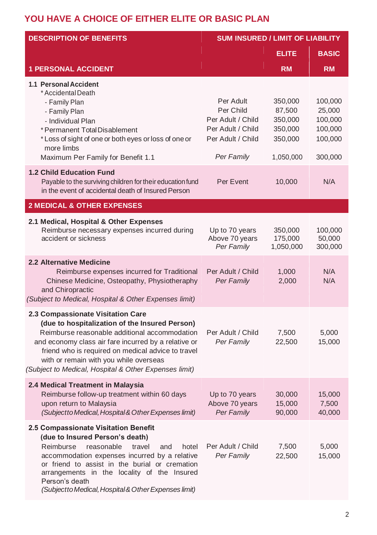# **YOU HAVE A CHOICE OF EITHER ELITE OR BASIC PLAN**

| <b>DESCRIPTION OF BENEFITS</b>                                                                                                                                                                                                                                                                                                                           | <b>SUM INSURED / LIMIT OF LIABILITY</b>                                                             |                                                                 |                                                               |  |
|----------------------------------------------------------------------------------------------------------------------------------------------------------------------------------------------------------------------------------------------------------------------------------------------------------------------------------------------------------|-----------------------------------------------------------------------------------------------------|-----------------------------------------------------------------|---------------------------------------------------------------|--|
|                                                                                                                                                                                                                                                                                                                                                          |                                                                                                     | <b>ELITE</b>                                                    | <b>BASIC</b>                                                  |  |
| <b>1 PERSONAL ACCIDENT</b>                                                                                                                                                                                                                                                                                                                               |                                                                                                     | <b>RM</b>                                                       | <b>RM</b>                                                     |  |
| 1.1 Personal Accident<br>* Accidental Death<br>- Family Plan<br>- Family Plan<br>- Individual Plan<br>* Permanent Total Disablement<br>* Loss of sight of one or both eyes or loss of one or<br>more limbs<br>Maximum Per Family for Benefit 1.1                                                                                                         | Per Adult<br>Per Child<br>Per Adult / Child<br>Per Adult / Child<br>Per Adult / Child<br>Per Family | 350,000<br>87,500<br>350,000<br>350,000<br>350,000<br>1,050,000 | 100,000<br>25,000<br>100,000<br>100,000<br>100,000<br>300,000 |  |
| <b>1.2 Child Education Fund</b><br>Payable to the surviving children for their education fund<br>in the event of accidental death of Insured Person                                                                                                                                                                                                      | Per Event                                                                                           | 10,000                                                          | N/A                                                           |  |
| <b>2 MEDICAL &amp; OTHER EXPENSES</b>                                                                                                                                                                                                                                                                                                                    |                                                                                                     |                                                                 |                                                               |  |
| 2.1 Medical, Hospital & Other Expenses<br>Reimburse necessary expenses incurred during<br>accident or sickness                                                                                                                                                                                                                                           | Up to 70 years<br>Above 70 years<br>Per Family                                                      | 350,000<br>175,000<br>1,050,000                                 | 100,000<br>50,000<br>300,000                                  |  |
| <b>2.2 Alternative Medicine</b><br>Reimburse expenses incurred for Traditional<br>Chinese Medicine, Osteopathy, Physiotheraphy<br>and Chiropractic<br>(Subject to Medical, Hospital & Other Expenses limit)                                                                                                                                              | Per Adult / Child<br>Per Family                                                                     | 1,000<br>2,000                                                  | N/A<br>N/A                                                    |  |
| 2.3 Compassionate Visitation Care<br>(due to hospitalization of the Insured Person)<br>Reimburse reasonable additional accommodation<br>and economy class air fare incurred by a relative or<br>friend who is required on medical advice to travel<br>with or remain with you while overseas<br>(Subject to Medical, Hospital & Other Expenses limit)    | Per Adult / Child<br>Per Family                                                                     | 7,500<br>22,500                                                 | 5,000<br>15,000                                               |  |
| 2.4 Medical Treatment in Malaysia<br>Reimburse follow-up treatment within 60 days<br>upon return to Malaysia<br>(Subjectto Medical, Hospital & Other Expenses limit)                                                                                                                                                                                     | Up to 70 years<br>Above 70 years<br>Per Family                                                      | 30,000<br>15,000<br>90,000                                      | 15,000<br>7,500<br>40,000                                     |  |
| 2.5 Compassionate Visitation Benefit<br>(due to Insured Person's death)<br>Reimburse<br>reasonable<br>travel<br>hotel<br>and<br>accommodation expenses incurred by a relative<br>or friend to assist in the burial or cremation<br>arrangements in the locality of the Insured<br>Person's death<br>(Subjectto Medical, Hospital & Other Expenses limit) | Per Adult / Child<br>Per Family                                                                     | 7,500<br>22,500                                                 | 5,000<br>15,000                                               |  |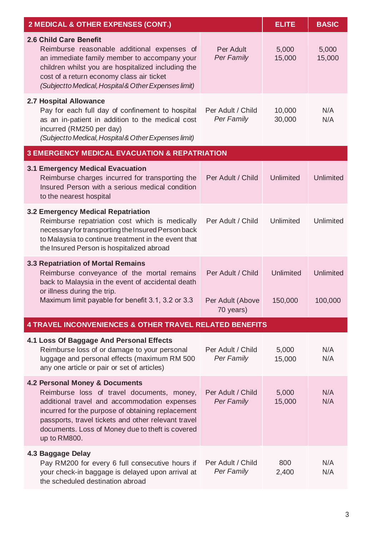| 2 MEDICAL & OTHER EXPENSES (CONT.)                                                                                                                                                                                                                                                                           | <b>ELITE</b>                                       | <b>BASIC</b>         |                             |  |  |
|--------------------------------------------------------------------------------------------------------------------------------------------------------------------------------------------------------------------------------------------------------------------------------------------------------------|----------------------------------------------------|----------------------|-----------------------------|--|--|
| 2.6 Child Care Benefit<br>Reimburse reasonable additional expenses of<br>an immediate family member to accompany your<br>children whilst you are hospitalized including the<br>cost of a return economy class air ticket<br>(Subjectto Medical, Hospital & Other Expenses limit)                             | Per Adult<br>Per Family                            | 5,000<br>15,000      | 5,000<br>15,000             |  |  |
| 2.7 Hospital Allowance<br>Pay for each full day of confinement to hospital<br>as an in-patient in addition to the medical cost<br>incurred (RM250 per day)<br>(Subjectto Medical, Hospital & Other Expenses limit)                                                                                           | Per Adult / Child<br>Per Family                    | 10,000<br>30,000     | N/A<br>N/A                  |  |  |
| <b>3 EMERGENCY MEDICAL EVACUATION &amp; REPATRIATION</b>                                                                                                                                                                                                                                                     |                                                    |                      |                             |  |  |
| 3.1 Emergency Medical Evacuation<br>Reimburse charges incurred for transporting the<br>Insured Person with a serious medical condition<br>to the nearest hospital                                                                                                                                            | Per Adult / Child                                  | Unlimited            | Unlimited                   |  |  |
| 3.2 Emergency Medical Repatriation<br>Reimburse repatriation cost which is medically<br>necessary for transporting the Insured Person back<br>to Malaysia to continue treatment in the event that<br>the Insured Person is hospitalized abroad                                                               | Per Adult / Child                                  | Unlimited            | <b>Unlimited</b>            |  |  |
| 3.3 Repatriation of Mortal Remains<br>Reimburse conveyance of the mortal remains<br>back to Malaysia in the event of accidental death<br>or illness during the trip.<br>Maximum limit payable for benefit 3.1, 3.2 or 3.3                                                                                    | Per Adult / Child<br>Per Adult (Above<br>70 years) | Unlimited<br>150,000 | <b>Unlimited</b><br>100,000 |  |  |
| 4 TRAVEL INCONVENIENCES & OTHER TRAVEL RELATED BENEFITS                                                                                                                                                                                                                                                      |                                                    |                      |                             |  |  |
| 4.1 Loss Of Baggage And Personal Effects<br>Reimburse loss of or damage to your personal<br>luggage and personal effects (maximum RM 500<br>any one article or pair or set of articles)                                                                                                                      | Per Adult / Child<br>Per Family                    | 5,000<br>15,000      | N/A<br>N/A                  |  |  |
| 4.2 Personal Money & Documents<br>Reimburse loss of travel documents, money,<br>additional travel and accommodation expenses<br>incurred for the purpose of obtaining replacement<br>passports, travel tickets and other relevant travel<br>documents. Loss of Money due to theft is covered<br>up to RM800. | Per Adult / Child<br>Per Family                    | 5,000<br>15,000      | N/A<br>N/A                  |  |  |
| 4.3 Baggage Delay<br>Pay RM200 for every 6 full consecutive hours if<br>your check-in baggage is delayed upon arrival at<br>the scheduled destination abroad                                                                                                                                                 | Per Adult / Child<br>Per Family                    | 800<br>2,400         | N/A<br>N/A                  |  |  |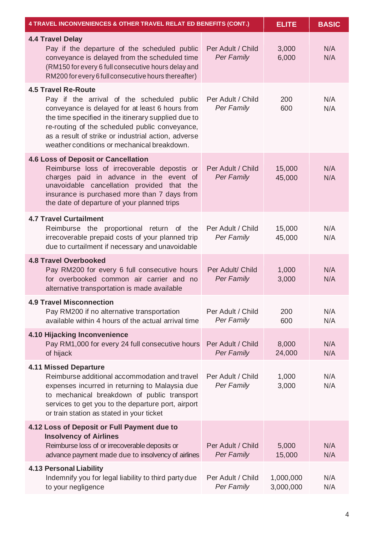| 4 TRAVEL INCONVENIENCES & OTHER TRAVEL RELAT ED BENEFITS (CONT.)                                                                                                                                                                                                                                                                           | <b>ELITE</b>                    | <b>BASIC</b>           |            |
|--------------------------------------------------------------------------------------------------------------------------------------------------------------------------------------------------------------------------------------------------------------------------------------------------------------------------------------------|---------------------------------|------------------------|------------|
| 4.4 Travel Delay<br>Pay if the departure of the scheduled public<br>conveyance is delayed from the scheduled time<br>(RM150 for every 6 full consecutive hours delay and<br>RM200 for every 6 full consecutive hours thereafter)                                                                                                           | Per Adult / Child<br>Per Family | 3,000<br>6,000         | N/A<br>N/A |
| <b>4.5 Travel Re-Route</b><br>Pay if the arrival of the scheduled public<br>conveyance is delayed for at least 6 hours from<br>the time specified in the itinerary supplied due to<br>re-routing of the scheduled public conveyance,<br>as a result of strike or industrial action, adverse<br>weather conditions or mechanical breakdown. | Per Adult / Child<br>Per Family | 200<br>600             | N/A<br>N/A |
| 4.6 Loss of Deposit or Cancellation<br>Reimburse loss of irrecoverable depostis or<br>charges paid in advance in the event of<br>unavoidable cancellation provided that the<br>insurance is purchased more than 7 days from<br>the date of departure of your planned trips                                                                 | Per Adult / Child<br>Per Family | 15,000<br>45,000       | N/A<br>N/A |
| <b>4.7 Travel Curtailment</b><br>Reimburse the proportional return of the<br>irrecoverable prepaid costs of your planned trip<br>due to curtailment if necessary and unavoidable                                                                                                                                                           | Per Adult / Child<br>Per Family | 15,000<br>45,000       | N/A<br>N/A |
| <b>4.8 Travel Overbooked</b><br>Pay RM200 for every 6 full consecutive hours<br>for overbooked common air carrier and no<br>alternative transportation is made available                                                                                                                                                                   | Per Adult/ Child<br>Per Family  | 1,000<br>3,000         | N/A<br>N/A |
| <b>4.9 Travel Misconnection</b><br>Pay RM200 if no alternative transportation<br>available within 4 hours of the actual arrival time                                                                                                                                                                                                       | Per Adult / Child<br>Per Family | 200<br>600             | N/A<br>N/A |
| 4.10 Hijacking Inconvenience<br>Pay RM1,000 for every 24 full consecutive hours<br>of hijack                                                                                                                                                                                                                                               | Per Adult / Child<br>Per Family | 8,000<br>24,000        | N/A<br>N/A |
| 4.11 Missed Departure<br>Reimburse additional accommodation and travel<br>expenses incurred in returning to Malaysia due<br>to mechanical breakdown of public transport<br>services to get you to the departure port, airport<br>or train station as stated in your ticket                                                                 | Per Adult / Child<br>Per Family | 1,000<br>3,000         | N/A<br>N/A |
| 4.12 Loss of Deposit or Full Payment due to<br><b>Insolvency of Airlines</b><br>Reimburse loss of or irrecoverable deposits or<br>advance payment made due to insolvency of airlines                                                                                                                                                       | Per Adult / Child<br>Per Family | 5,000<br>15,000        | N/A<br>N/A |
| <b>4.13 Personal Liability</b><br>Indemnify you for legal liability to third party due<br>to your negligence                                                                                                                                                                                                                               | Per Adult / Child<br>Per Family | 1,000,000<br>3,000,000 | N/A<br>N/A |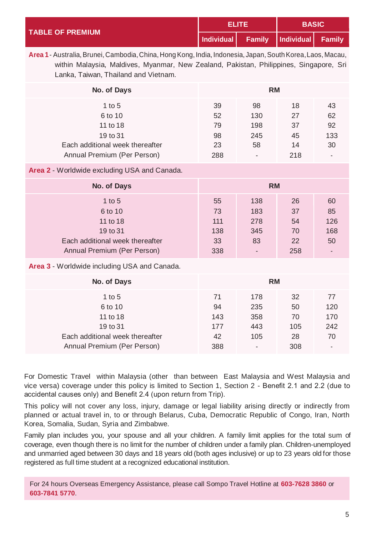| <b>TABLE OF PREMIUM</b> | 51 ITE. |                                     | <b>BASIC</b> |  |
|-------------------------|---------|-------------------------------------|--------------|--|
|                         |         | Individual Family Individual Family |              |  |

**Area 1**- Australia,Brunei, Cambodia,China, HongKong, India, Indonesia, Japan,SouthKorea,Laos, Macau, within Malaysia, Maldives, Myanmar, New Zealand, Pakistan, Philippines, Singapore, Sri Lanka, Taiwan, Thailand and Vietnam.

| No. of Days                     | <b>RM</b> |                          |     |                          |  |
|---------------------------------|-----------|--------------------------|-----|--------------------------|--|
| 1 to $5$                        | 39        | 98                       | 18  | 43                       |  |
| 6 to 10                         | 52        | 130                      | 27  | 62                       |  |
| 11 to 18                        | 79        | 198                      | 37  | 92                       |  |
| 19 to 31                        | 98        | 245                      | 45  | 133                      |  |
| Each additional week thereafter | 23        | 58                       | 14  | 30                       |  |
| Annual Premium (Per Person)     | 288       | $\overline{\phantom{a}}$ | 218 | $\overline{\phantom{a}}$ |  |

**Area 2** - Worldwide excluding USA and Canada.

| No. of Days                     | <b>RM</b> |                          |     |     |
|---------------------------------|-----------|--------------------------|-----|-----|
| 1 to $5$                        | 55        | 138                      | 26  | 60  |
| 6 to 10                         | 73        | 183                      | 37  | 85  |
| 11 to 18                        | 111       | 278                      | 54  | 126 |
| 19 to 31                        | 138       | 345                      | 70  | 168 |
| Each additional week thereafter | 33        | 83                       | 22  | 50  |
| Annual Premium (Per Person)     | 338       | $\overline{\phantom{a}}$ | 258 |     |

**Area 3** - Worldwide including USA and Canada.

| No. of Days                     | <b>RM</b> |                |     |     |
|---------------------------------|-----------|----------------|-----|-----|
| 1 to $5$                        | 71        | 178            | 32  | 77  |
| 6 to 10                         | 94        | 235            | 50  | 120 |
| 11 to 18                        | 143       | 358            | 70  | 170 |
| 19 to 31                        | 177       | 443            | 105 | 242 |
| Each additional week thereafter | 42        | 105            | 28  | 70  |
| Annual Premium (Per Person)     | 388       | $\blacksquare$ | 308 |     |

For Domestic Travel within Malaysia (other than between East Malaysia and West Malaysia and vice versa) coverage under this policy is limited to Section 1, Section 2 - Benefit 2.1 and 2.2 (due to accidental causes only) and Benefit 2.4 (upon return from Trip).

This policy will not cover any loss, injury, damage or legal liability arising directly or indirectly from planned or actual travel in, to or through Belarus, Cuba, Democratic Republic of Congo, Iran, North Korea, Somalia, Sudan, Syria and Zimbabwe.

Family plan includes you, your spouse and all your children. A family limit applies for the total sum of coverage, even though there is no limit for the number of children under a family plan. Children-unemployed and unmarried aged between 30 days and 18 years old (both ages inclusive) or up to 23 years old for those registered as full time student at a recognized educational institution.

For 24 hours Overseas Emergency Assistance, please call Sompo Travel Hotline at **603-7628 3860** or **603-7841 5770**.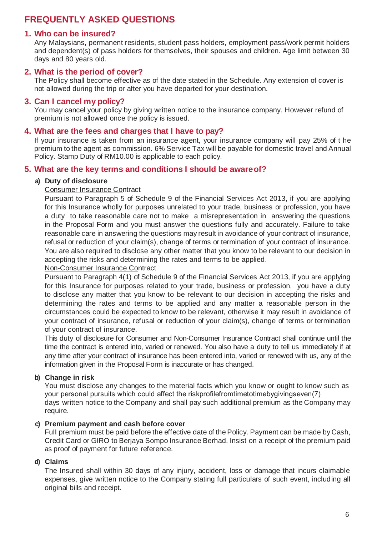## **FREQUENTLY ASKED QUESTIONS**

### **1. Who can be insured?**

Any Malaysians, permanent residents, student pass holders, employment pass/work permit holders and dependent(s) of pass holders for themselves, their spouses and children. Age limit between 30 days and 80 years old.

#### **2. What is the period of cover?**

The Policy shall become effective as of the date stated in the Schedule. Any extension of cover is not allowed during the trip or after you have departed for your destination.

#### **3. Can I cancel my policy?**

You may cancel your policy by giving written notice to the insurance company. However refund of premium is not allowed once the policy is issued.

#### **4. What are the fees and charges that I have to pay?**

If your insurance is taken from an insurance agent, your insurance company will pay 25% of t he premium to the agent as commission. 6% Service Tax will be payable for domestic travel and Annual Policy. Stamp Duty of RM10.00 is applicable to each policy.

#### **5. What are the key terms and conditions I should be awareof?**

#### **a) Duty of disclosure**

#### Consumer Insurance Contract

Pursuant to Paragraph 5 of Schedule 9 of the Financial Services Act 2013, if you are applying for this Insurance wholly for purposes unrelated to your trade, business or profession, you have a duty to take reasonable care not to make a misrepresentation in answering the questions in the Proposal Form and you must answer the questions fully and accurately. Failure to take reasonable care in answering the questions may result in avoidance of your contract of insurance, refusal or reduction of your claim(s), change of terms or termination of your contract of insurance. You are also required to disclose any other matter that you know to be relevant to our decision in accepting the risks and determining the rates and terms to be applied.

Non-Consumer Insurance Contract

Pursuant to Paragraph 4(1) of Schedule 9 of the Financial Services Act 2013, if you are applying for this Insurance for purposes related to your trade, business or profession, you have a duty to disclose any matter that you know to be relevant to our decision in accepting the risks and determining the rates and terms to be applied and any matter a reasonable person in the circumstances could be expected to know to be relevant, otherwise it may result in avoidance of your contract of insurance, refusal or reduction of your claim(s), change of terms or termination of your contract of insurance.

This duty of disclosure for Consumer and Non-Consumer Insurance Contract shall continue until the time the contract is entered into, varied or renewed. You also have a duty to tell us immediately if at any time after your contract of insurance has been entered into, varied or renewed with us, any of the information given in the Proposal Form is inaccurate or has changed.

#### **b) Change in risk**

You must disclose any changes to the material facts which you know or ought to know such as your personal pursuits which could affect the riskprofilefromtimetotimebygivingseven(7) days written notice to the Company and shall pay such additional premium as the Company may require.

#### **c) Premium payment and cash before cover**

FuII premium must be paid before the effective date of the Policy. Payment can be made by Cash, Credit Card or GIRO to Berjaya Sompo Insurance Berhad. Insist on a receipt of the premium paid as proof of payment for future reference.

#### **d) Claims**

The Insured shall within 30 days of any injury, accident, loss or damage that incurs claimable expenses, give written notice to the Company stating full particulars of such event, including all original bills and receipt.